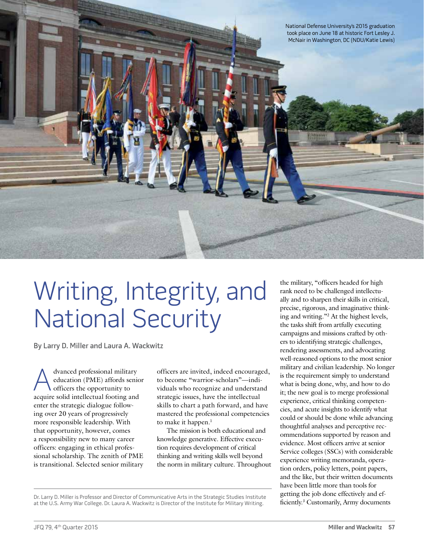

## Writing, Integrity, and National Security

By Larry D. Miller and Laura A. Wackwitz

dvanced professional military education (PME) affords senior officers the opportunity to acquire solid intellectual footing and enter the strategic dialogue following over 20 years of progressively more responsible leadership. With that opportunity, however, comes a responsibility new to many career officers: engaging in ethical professional scholarship. The zenith of PME is transitional. Selected senior military

officers are invited, indeed encouraged, to become "warrior-scholars"—individuals who recognize and understand strategic issues, have the intellectual skills to chart a path forward, and have mastered the professional competencies to make it happen.<sup>1</sup>

The mission is both educational and knowledge generative. Effective execution requires development of critical thinking and writing skills well beyond the norm in military culture. Throughout the military, "officers headed for high rank need to be challenged intellectually and to sharpen their skills in critical, precise, rigorous, and imaginative thinking and writing."2 At the highest levels, the tasks shift from artfully executing campaigns and missions crafted by others to identifying strategic challenges, rendering assessments, and advocating well-reasoned options to the most senior military and civilian leadership. No longer is the requirement simply to understand what is being done, why, and how to do it; the new goal is to merge professional experience, critical thinking competencies, and acute insights to identify what could or should be done while advancing thoughtful analyses and perceptive recommendations supported by reason and evidence. Most officers arrive at senior Service colleges (SSCs) with considerable experience writing memoranda, operation orders, policy letters, point papers, and the like, but their written documents have been little more than tools for getting the job done effectively and efficiently.<sup>3</sup> Customarily, Army documents

Dr. Larry D. Miller is Professor and Director of Communicative Arts in the Strategic Studies Institute getting the Job done eneenvery and creation.<br>at the U.S. Army War College. Dr. Laura A. Wackwitz is Director of the Ins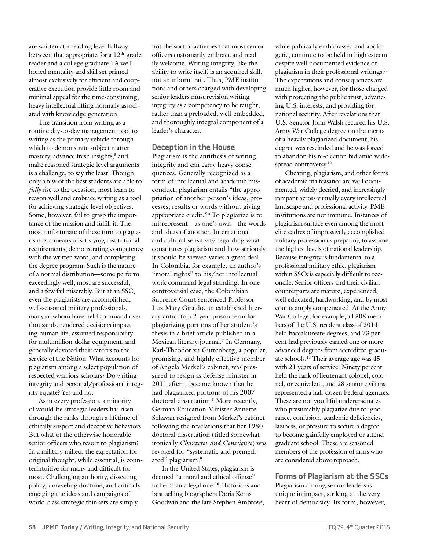are written at a reading level halfway between that appropriate for a  $12<sup>th</sup>$ -grade reader and a college graduate.<sup>4</sup> A wellhoned mentality and skill set primed almost exclusively for efficient and cooperative execution provide little room and minimal appeal for the time-consuming, heavy intellectual lifting normally associated with knowledge generation.

The transition from writing as a routine day-to-day management tool to writing as the primary vehicle through which to demonstrate subject matter mastery, advance fresh insights,<sup>5</sup> and make reasoned strategic-level arguments is a challenge, to say the least. Though only a few of the best students are able to *fully* rise to the occasion, most learn to reason well and embrace writing as a tool for achieving strategic-level objectives. Some, however, fail to grasp the importance of the mission and fulfill it. The most unfortunate of these turn to plagiarism as a means of satisfying institutional requirements, demonstrating competence with the written word, and completing the degree program. Such is the nature of a normal distribution—some perform exceedingly well, most are successful, and a few fail miserably. But at an SSC, even the plagiarists are accomplished, well-seasoned military professionals, many of whom have held command over thousands, rendered decisions impacting human life, assumed responsibility for multimillion-dollar equipment, and generally devoted their careers to the service of the Nation. What accounts for plagiarism among a select population of respected warriors-scholars? Do writing integrity and personal/professional integrity equate? Yes and no.

As in every profession, a minority of would-be strategic leaders has risen through the ranks through a lifetime of ethically suspect and deceptive behaviors. But what of the otherwise honorable senior officers who resort to plagiarism? In a military milieu, the expectation for original thought, while essential, is counterintuitive for many and difficult for most. Challenging authority, dissecting policy, unraveling doctrine, and critically engaging the ideas and campaigns of world-class strategic thinkers are simply

not the sort of activities that most senior officers customarily embrace and readily welcome. Writing integrity, like the ability to write itself, is an acquired skill, not an inborn trait. Thus, PME institutions and others charged with developing senior leaders must revision writing integrity as a competency to be taught, rather than a preloaded, well-embedded, and thoroughly integral component of a leader's character.

## **Deception in the House**

Plagiarism is the antithesis of writing integrity and can carry heavy consequences. Generally recognized as a form of intellectual and academic misconduct, plagiarism entails "the appropriation of another person's ideas, processes, results or words without giving appropriate credit."6 To plagiarize is to misrepresent—as one's own—the words and ideas of another. International and cultural sensitivity regarding what constitutes plagiarism and how seriously it should be viewed varies a great deal. In Colombia, for example, an author's "moral rights" to his/her intellectual work command legal standing. In one controversial case, the Colombian Supreme Court sentenced Professor Luz Mary Giraldo, an established literary critic, to a 2-year prison term for plagiarizing portions of her student's thesis in a brief article published in a Mexican literary journal.7 In Germany, Karl-Theodor zu Guttenberg, a popular, promising, and highly effective member of Angela Merkel's cabinet, was pressured to resign as defense minister in 2011 after it became known that he had plagiarized portions of his 2007 doctoral dissertation.8 More recently, German Education Minister Annette Schavan resigned from Merkel's cabinet following the revelations that her 1980 doctoral dissertation (titled somewhat ironically *Character and Conscience*) was revoked for "systematic and premediated" plagiarism.<sup>9</sup>

In the United States, plagiarism is deemed "a moral and ethical offense" rather than a legal one.<sup>10</sup> Historians and best-selling biographers Doris Kerns Goodwin and the late Stephen Ambrose, while publically embarrassed and apologetic, continue to be held in high esteem despite well-documented evidence of plagiarism in their professional writings.11 The expectations and consequences are much higher, however, for those charged with protecting the public trust, advancing U.S. interests, and providing for national security. After revelations that U.S. Senator John Walsh secured his U.S. Army War College degree on the merits of a heavily plagiarized document, his degree was rescinded and he was forced to abandon his re-election bid amid widespread controversy.<sup>12</sup>

Cheating, plagiarism, and other forms of academic malfeasance are well documented, widely decried, and increasingly rampant across virtually every intellectual landscape and professional activity. PME institutions are not immune. Instances of plagiarism surface even among the most elite cadres of impressively accomplished military professionals preparing to assume the highest levels of national leadership. Because integrity is fundamental to a professional military ethic, plagiarism within SSCs is especially difficult to reconcile. Senior officers and their civilian counterparts are mature, experienced, well educated, hardworking, and by most counts amply compensated. At the Army War College, for example, all 308 members of the U.S. resident class of 2014 held baccalaureate degrees, and 73 percent had previously earned one or more advanced degrees from accredited graduate schools.13 Their average age was 45 with 21 years of service. Ninety percent held the rank of lieutenant colonel, colonel, or equivalent, and 28 senior civilians represented a half-dozen Federal agencies. These are not youthful undergraduates who presumably plagiarize due to ignorance, confusion, academic deficiencies, laziness, or pressure to secure a degree to become gainfully employed or attend graduate school. These are seasoned members of the profession of arms who are considered above reproach.

**Forms of Plagiarism at the SSCs** Plagiarism among senior leaders is unique in impact, striking at the very heart of democracy. Its form, however,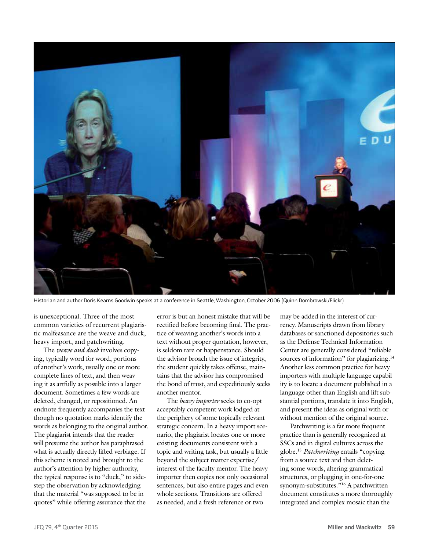

Historian and author Doris Kearns Goodwin speaks at a conference in Seattle, Washington, October 2006 (Quinn Dombrowski/Flickr)

is unexceptional. Three of the most common varieties of recurrent plagiaristic malfeasance are the weave and duck, heavy import, and patchwriting.

The *weave and duck* involves copying, typically word for word, portions of another's work, usually one or more complete lines of text, and then weaving it as artfully as possible into a larger document. Sometimes a few words are deleted, changed, or repositioned. An endnote frequently accompanies the text though no quotation marks identify the words as belonging to the original author. The plagiarist intends that the reader will presume the author has paraphrased what is actually directly lifted verbiage. If this scheme is noted and brought to the author's attention by higher authority, the typical response is to "duck," to sidestep the observation by acknowledging that the material "was supposed to be in quotes" while offering assurance that the

error is but an honest mistake that will be rectified before becoming final. The practice of weaving another's words into a text without proper quotation, however, is seldom rare or happenstance. Should the advisor broach the issue of integrity, the student quickly takes offense, maintains that the advisor has compromised the bond of trust, and expeditiously seeks another mentor.

The *heavy importer* seeks to co-opt acceptably competent work lodged at the periphery of some topically relevant strategic concern. In a heavy import scenario, the plagiarist locates one or more existing documents consistent with a topic and writing task, but usually a little beyond the subject matter expertise/ interest of the faculty mentor. The heavy importer then copies not only occasional sentences, but also entire pages and even whole sections. Transitions are offered as needed, and a fresh reference or two

may be added in the interest of currency. Manuscripts drawn from library databases or sanctioned depositories such as the Defense Technical Information Center are generally considered "reliable sources of information" for plagiarizing.<sup>14</sup> Another less common practice for heavy importers with multiple language capability is to locate a document published in a language other than English and lift substantial portions, translate it into English, and present the ideas as original with or without mention of the original source.

Patchwriting is a far more frequent practice than is generally recognized at SSCs and in digital cultures across the globe.15 *Patchwriting* entails "copying from a source text and then deleting some words, altering grammatical structures, or plugging in one-for-one synonym-substitutes."16 A patchwritten document constitutes a more thoroughly integrated and complex mosaic than the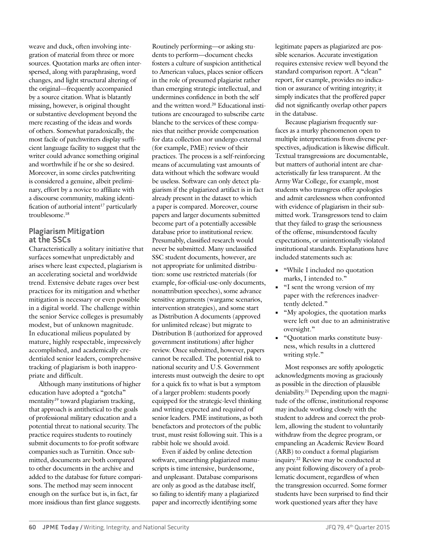weave and duck, often involving integration of material from three or more sources. Quotation marks are often interspersed, along with paraphrasing, word changes, and light structural altering of the original—frequently accompanied by a source citation. What is blatantly missing, however, is original thought or substantive development beyond the mere recasting of the ideas and words of others. Somewhat paradoxically, the most facile of patchwriters display sufficient language facility to suggest that the writer could advance something original and worthwhile if he or she so desired. Moreover, in some circles patchwriting is considered a genuine, albeit preliminary, effort by a novice to affiliate with a discourse community, making identification of authorial intent<sup>17</sup> particularly troublesome.18

## **Plagiarism Mitigation at the SSCs**

Characteristically a solitary initiative that surfaces somewhat unpredictably and arises where least expected, plagiarism is an accelerating societal and worldwide trend. Extensive debate rages over best practices for its mitigation and whether mitigation is necessary or even possible in a digital world. The challenge within the senior Service colleges is presumably modest, but of unknown magnitude. In educational milieus populated by mature, highly respectable, impressively accomplished, and academically credentialed senior leaders, comprehensive tracking of plagiarism is both inappropriate and difficult.

Although many institutions of higher education have adopted a "gotcha" mentality<sup>19</sup> toward plagiarism tracking, that approach is antithetical to the goals of professional military education and a potential threat to national security. The practice requires students to routinely submit documents to for-profit software companies such as Turnitin. Once submitted, documents are both compared to other documents in the archive and added to the database for future comparisons. The method may seem innocent enough on the surface but is, in fact, far more insidious than first glance suggests.

Routinely performing—or asking students to perform—document checks fosters a culture of suspicion antithetical to American values, places senior officers in the role of presumed plagiarist rather than emerging strategic intellectual, and undermines confidence in both the self and the written word.20 Educational institutions are encouraged to subscribe carte blanche to the services of these companies that neither provide compensation for data collection nor undergo external (for example, PME) review of their practices. The process is a self-reinforcing means of accumulating vast amounts of data without which the software would be useless. Software can only detect plagiarism if the plagiarized artifact is in fact already present in the dataset to which a paper is compared. Moreover, course papers and larger documents submitted become part of a potentially accessible database prior to institutional review. Presumably, classified research would never be submitted. Many unclassified SSC student documents, however, are not appropriate for unlimited distribution: some use restricted materials (for example, for-official-use-only documents, nonattribution speeches), some advance sensitive arguments (wargame scenarios, intervention strategies), and some start as Distribution A documents (approved for unlimited release) but migrate to Distribution B (authorized for approved government institutions) after higher review. Once submitted, however, papers cannot be recalled. The potential risk to national security and U.S. Government interests must outweigh the desire to opt for a quick fix to what is but a symptom of a larger problem: students poorly equipped for the strategic-level thinking and writing expected and required of senior leaders. PME institutions, as both benefactors and protectors of the public trust, must resist following suit. This is a rabbit hole we should avoid.

Even if aided by online detection software, unearthing plagiarized manuscripts is time intensive, burdensome, and unpleasant. Database comparisons are only as good as the database itself, so failing to identify many a plagiarized paper and incorrectly identifying some

legitimate papers as plagiarized are possible scenarios. Accurate investigation requires extensive review well beyond the standard comparison report. A "clean" report, for example, provides no indication or assurance of writing integrity; it simply indicates that the proffered paper did not significantly overlap other papers in the database.

Because plagiarism frequently surfaces as a murky phenomenon open to multiple interpretations from diverse perspectives, adjudication is likewise difficult. Textual transgressions are documentable, but matters of authorial intent are characteristically far less transparent. At the Army War College, for example, most students who transgress offer apologies and admit carelessness when confronted with evidence of plagiarism in their submitted work. Transgressors tend to claim that they failed to grasp the seriousness of the offense, misunderstood faculty expectations, or unintentionally violated institutional standards. Explanations have included statements such as:

- *"While I included no quotation* marks, I intended to."
- **•** "I sent the wrong version of my paper with the references inadvertently deleted."
- **•** "My apologies, the quotation marks were left out due to an administrative oversight."
- **•** "Quotation marks constitute busyness, which results in a cluttered writing style."

Most responses are softly apologetic acknowledgments moving as graciously as possible in the direction of plausible deniability.21 Depending upon the magnitude of the offense, institutional response may include working closely with the student to address and correct the problem, allowing the student to voluntarily withdraw from the degree program, or empaneling an Academic Review Board (ARB) to conduct a formal plagiarism inquiry.22 Review may be conducted at any point following discovery of a problematic document, regardless of when the transgression occurred. Some former students have been surprised to find their work questioned years after they have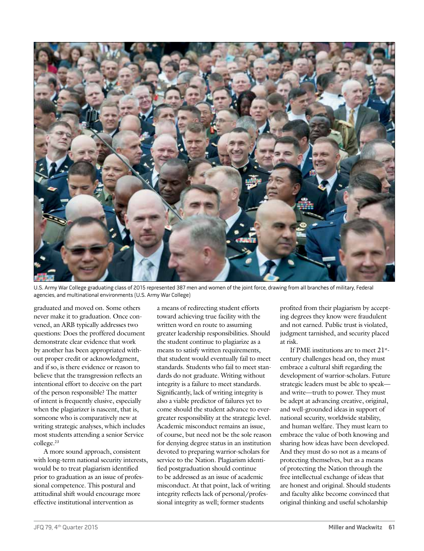

U.S. Army War College graduating class of 2015 represented 387 men and women of the joint force, drawing from all branches of military, Federal agencies, and multinational environments (U.S. Army War College)

graduated and moved on. Some others never make it to graduation. Once convened, an ARB typically addresses two questions: Does the proffered document demonstrate clear evidence that work by another has been appropriated without proper credit or acknowledgment, and if so, is there evidence or reason to believe that the transgression reflects an intentional effort to deceive on the part of the person responsible? The matter of intent is frequently elusive, especially when the plagiarizer is nascent, that is, someone who is comparatively new at writing strategic analyses, which includes most students attending a senior Service college.23

A more sound approach, consistent with long-term national security interests, would be to treat plagiarism identified prior to graduation as an issue of professional competence. This postural and attitudinal shift would encourage more effective institutional intervention as

a means of redirecting student efforts toward achieving true facility with the written word en route to assuming greater leadership responsibilities. Should the student continue to plagiarize as a means to satisfy written requirements, that student would eventually fail to meet standards. Students who fail to meet standards do not graduate. Writing without integrity is a failure to meet standards. Significantly, lack of writing integrity is also a viable predictor of failures yet to come should the student advance to evergreater responsibility at the strategic level. Academic misconduct remains an issue, of course, but need not be the sole reason for denying degree status in an institution devoted to preparing warrior-scholars for service to the Nation. Plagiarism identified postgraduation should continue to be addressed as an issue of academic misconduct. At that point, lack of writing integrity reflects lack of personal/professional integrity as well; former students

profited from their plagiarism by accepting degrees they know were fraudulent and not earned. Public trust is violated, judgment tarnished, and security placed at risk.

If PME institutions are to meet 21stcentury challenges head on, they must embrace a cultural shift regarding the development of warrior-scholars. Future strategic leaders must be able to speak and write—truth to power. They must be adept at advancing creative, original, and well-grounded ideas in support of national security, worldwide stability, and human welfare. They must learn to embrace the value of both knowing and sharing how ideas have been developed. And they must do so not as a means of protecting themselves, but as a means of protecting the Nation through the free intellectual exchange of ideas that are honest and original. Should students and faculty alike become convinced that original thinking and useful scholarship